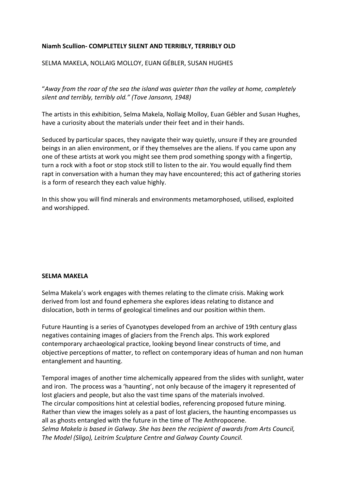# **Niamh Scullion- COMPLETELY SILENT AND TERRIBLY, TERRIBLY OLD**

## SELMA MAKELA, NOLLAIG MOLLOY, EUAN GÉBLER, SUSAN HUGHES

"*Away from the roar of the sea the island was quieter than the valley at home, completely silent and terribly, terribly old." (Tove Jansonn, 1948)*

The artists in this exhibition, Selma Makela, Nollaig Molloy, Euan Gébler and Susan Hughes, have a curiosity about the materials under their feet and in their hands.

Seduced by particular spaces, they navigate their way quietly, unsure if they are grounded beings in an alien environment, or if they themselves are the aliens. If you came upon any one of these artists at work you might see them prod something spongy with a fingertip, turn a rock with a foot or stop stock still to listen to the air. You would equally find them rapt in conversation with a human they may have encountered; this act of gathering stories is a form of research they each value highly.

In this show you will find minerals and environments metamorphosed, utilised, exploited and worshipped.

#### **SELMA MAKELA**

Selma Makela's work engages with themes relating to the climate crisis. Making work derived from lost and found ephemera she explores ideas relating to distance and dislocation, both in terms of geological timelines and our position within them.

Future Haunting is a series of Cyanotypes developed from an archive of 19th century glass negatives containing images of glaciers from the French alps. This work explored contemporary archaeological practice, looking beyond linear constructs of time, and objective perceptions of matter, to reflect on contemporary ideas of human and non human entanglement and haunting.

Temporal images of another time alchemically appeared from the slides with sunlight, water and iron. The process was a 'haunting', not only because of the imagery it represented of lost glaciers and people, but also the vast time spans of the materials involved. The circular compositions hint at celestial bodies, referencing proposed future mining. Rather than view the images solely as a past of lost glaciers, the haunting encompasses us all as ghosts entangled with the future in the time of The Anthropocene. *Selma Makela is based in Galway. She has been the recipient of awards from Arts Council, The Model (Sligo), Leitrim Sculpture Centre and Galway County Council.*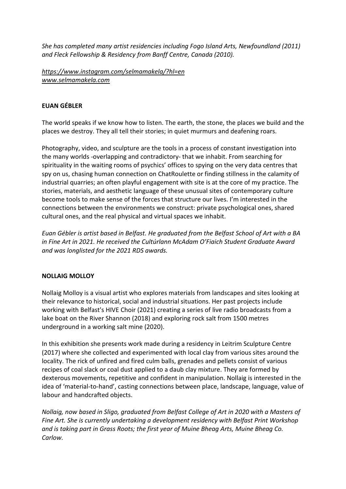*She has completed many artist residencies including Fogo Island Arts, Newfoundland (2011) and Fleck Fellowship & Residency from Banff Centre, Canada (2010).*

*<https://www.instagram.com/selmamakela/?hl=en> [www.selmamakela.com](http://www.selmamakela.com/)*

## **EUAN GÉBLER**

The world speaks if we know how to listen. The earth, the stone, the places we build and the places we destroy. They all tell their stories; in quiet murmurs and deafening roars.

Photography, video, and sculpture are the tools in a process of constant investigation into the many worlds -overlapping and contradictory- that we inhabit. From searching for spirituality in the waiting rooms of psychics' offices to spying on the very data centres that spy on us, chasing human connection on ChatRoulette or finding stillness in the calamity of industrial quarries; an often playful engagement with site is at the core of my practice. The stories, materials, and aesthetic language of these unusual sites of contemporary culture become tools to make sense of the forces that structure our lives. I'm interested in the connections between the environments we construct: private psychological ones, shared cultural ones, and the real physical and virtual spaces we inhabit.

*Euan Gébler is artist based in Belfast. He graduated from the Belfast School of Art with a BA in Fine Art in 2021. He received the Cultúrlann McAdam O'Fiaich Student Graduate Award and was longlisted for the 2021 RDS awards.*

# **NOLLAIG MOLLOY**

Nollaig Molloy is a visual artist who explores materials from landscapes and sites looking at their relevance to historical, social and industrial situations. Her past projects include working with Belfast's HIVE Choir (2021) creating a series of live radio broadcasts from a lake boat on the River Shannon (2018) and exploring rock salt from 1500 metres underground in a working salt mine (2020).

In this exhibition she presents work made during a residency in Leitrim Sculpture Centre (2017) where she collected and experimented with local clay from various sites around the locality. The rick of unfired and fired culm balls, grenades and pellets consist of various recipes of coal slack or coal dust applied to a daub clay mixture. They are formed by dexterous movements, repetitive and confident in manipulation. Nollaig is interested in the idea of 'material-to-hand', casting connections between place, landscape, language, value of labour and handcrafted objects.

*Nollaig, now based in Sligo, graduated from Belfast College of Art in 2020 with a Masters of Fine Art. She is currently undertaking a development residency with Belfast Print Workshop and is taking part in Grass Roots; the first year of Muine Bheag Arts, Muine Bheag Co. Carlow.*